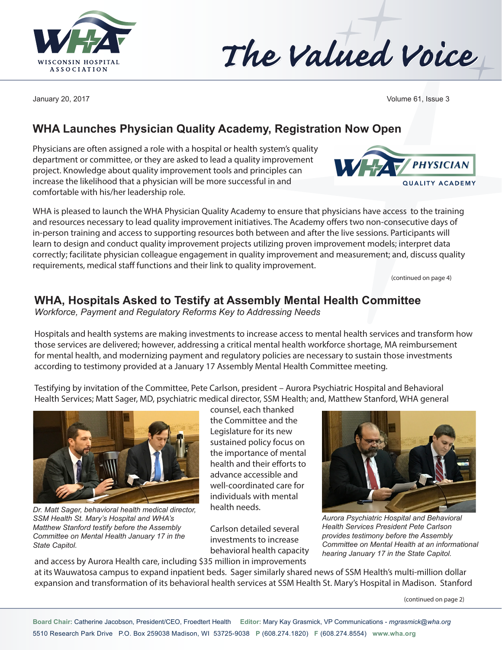



January 20, 2017 Volume 61, Issue 3

**PHYSICIAN** 

**QUALITY ACADEMY** 

## **WHA Launches Physician Quality Academy, Registration Now Open**

Physicians are often assigned a role with a hospital or health system's quality department or committee, or they are asked to lead a quality improvement project. Knowledge about quality improvement tools and principles can increase the likelihood that a physician will be more successful in and comfortable with his/her leadership role.

WHA is pleased to launch the WHA Physician Quality Academy to ensure that physicians have access to the training and resources necessary to lead quality improvement initiatives. The Academy offers two non-consecutive days of in-person training and access to supporting resources both between and after the live sessions. Participants will learn to design and conduct quality improvement projects utilizing proven improvement models; interpret data correctly; facilitate physician colleague engagement in quality improvement and measurement; and, discuss quality requirements, medical staff functions and their link to quality improvement.

(continued on page 4)

### **WHA, Hospitals Asked to Testify at Assembly Mental Health Committee**

*Workforce, Payment and Regulatory Reforms Key to Addressing Needs*

Hospitals and health systems are making investments to increase access to mental health services and transform how those services are delivered; however, addressing a critical mental health workforce shortage, MA reimbursement for mental health, and modernizing payment and regulatory policies are necessary to sustain those investments according to testimony provided at a January 17 Assembly Mental Health Committee meeting.

Testifying by invitation of the Committee, Pete Carlson, president – Aurora Psychiatric Hospital and Behavioral Health Services; Matt Sager, MD, psychiatric medical director, SSM Health; and, Matthew Stanford, WHA general



*Dr. Matt Sager, behavioral health medical director, SSM Health St. Mary's Hospital and WHA's Matthew Stanford testify before the Assembly Committee on Mental Health January 17 in the State Capitol.*

counsel, each thanked the Committee and the Legislature for its new sustained policy focus on the importance of mental health and their efforts to advance accessible and well-coordinated care for individuals with mental health needs.

Carlson detailed several investments to increase behavioral health capacity



*Aurora Psychiatric Hospital and Behavioral Health Services President Pete Carlson provides testimony before the Assembly Committee on Mental Health at an informational hearing January 17 in the State Capitol.*

and access by Aurora Health care, including \$35 million in improvements at its Wauwatosa campus to expand inpatient beds. Sager similarly shared news of SSM Health's multi-million dollar expansion and transformation of its behavioral health services at SSM Health St. Mary's Hospital in Madison. Stanford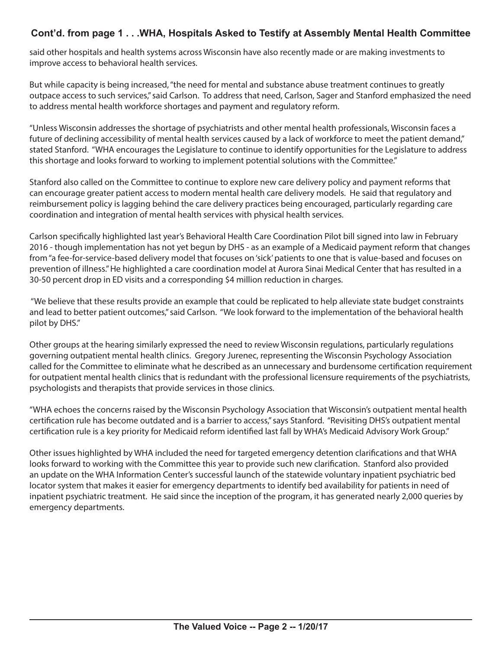#### **Cont'd. from page 1 . . .WHA, Hospitals Asked to Testify at Assembly Mental Health Committee**

said other hospitals and health systems across Wisconsin have also recently made or are making investments to improve access to behavioral health services.

But while capacity is being increased, "the need for mental and substance abuse treatment continues to greatly outpace access to such services," said Carlson. To address that need, Carlson, Sager and Stanford emphasized the need to address mental health workforce shortages and payment and regulatory reform.

"Unless Wisconsin addresses the shortage of psychiatrists and other mental health professionals, Wisconsin faces a future of declining accessibility of mental health services caused by a lack of workforce to meet the patient demand," stated Stanford. "WHA encourages the Legislature to continue to identify opportunities for the Legislature to address this shortage and looks forward to working to implement potential solutions with the Committee."

Stanford also called on the Committee to continue to explore new care delivery policy and payment reforms that can encourage greater patient access to modern mental health care delivery models. He said that regulatory and reimbursement policy is lagging behind the care delivery practices being encouraged, particularly regarding care coordination and integration of mental health services with physical health services.

Carlson specifically highlighted last year's Behavioral Health Care Coordination Pilot bill signed into law in February 2016 - though implementation has not yet begun by DHS - as an example of a Medicaid payment reform that changes from "a fee-for-service-based delivery model that focuses on 'sick' patients to one that is value-based and focuses on prevention of illness." He highlighted a care coordination model at Aurora Sinai Medical Center that has resulted in a 30-50 percent drop in ED visits and a corresponding \$4 million reduction in charges.

 "We believe that these results provide an example that could be replicated to help alleviate state budget constraints and lead to better patient outcomes," said Carlson. "We look forward to the implementation of the behavioral health pilot by DHS."

Other groups at the hearing similarly expressed the need to review Wisconsin regulations, particularly regulations governing outpatient mental health clinics. Gregory Jurenec, representing the Wisconsin Psychology Association called for the Committee to eliminate what he described as an unnecessary and burdensome certification requirement for outpatient mental health clinics that is redundant with the professional licensure requirements of the psychiatrists, psychologists and therapists that provide services in those clinics.

"WHA echoes the concerns raised by the Wisconsin Psychology Association that Wisconsin's outpatient mental health certification rule has become outdated and is a barrier to access," says Stanford. "Revisiting DHS's outpatient mental certification rule is a key priority for Medicaid reform identified last fall by WHA's Medicaid Advisory Work Group."

Other issues highlighted by WHA included the need for targeted emergency detention clarifications and that WHA looks forward to working with the Committee this year to provide such new clarification. Stanford also provided an update on the WHA Information Center's successful launch of the statewide voluntary inpatient psychiatric bed locator system that makes it easier for emergency departments to identify bed availability for patients in need of inpatient psychiatric treatment. He said since the inception of the program, it has generated nearly 2,000 queries by emergency departments.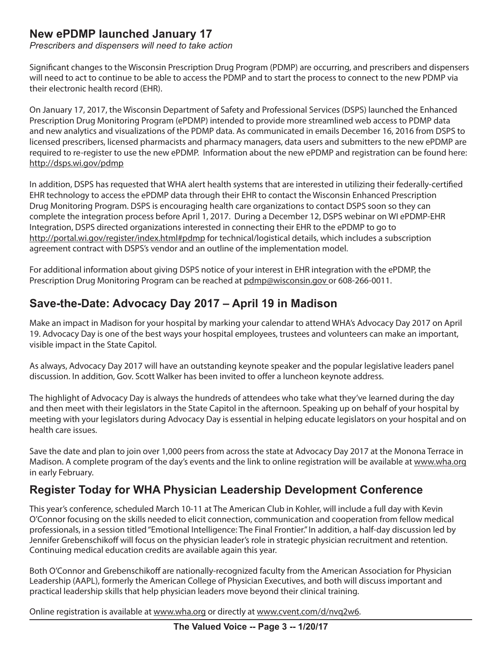## **New ePDMP launched January 17**

*Prescribers and dispensers will need to take action*

Significant changes to the Wisconsin Prescription Drug Program (PDMP) are occurring, and prescribers and dispensers will need to act to continue to be able to access the PDMP and to start the process to connect to the new PDMP via their electronic health record (EHR).

On January 17, 2017, the Wisconsin Department of Safety and Professional Services (DSPS) launched the Enhanced Prescription Drug Monitoring Program (ePDMP) intended to provide more streamlined web access to PDMP data and new analytics and visualizations of the PDMP data. As communicated in emails December 16, 2016 from DSPS to licensed prescribers, licensed pharmacists and pharmacy managers, data users and submitters to the new ePDMP are required to re-register to use the new ePDMP. Information about the new ePDMP and registration can be found here: http://dsps.wi.gov/pdmp

In addition, DSPS has requested that WHA alert health systems that are interested in utilizing their federally-certified EHR technology to access the ePDMP data through their EHR to contact the Wisconsin Enhanced Prescription Drug Monitoring Program. DSPS is encouraging health care organizations to contact DSPS soon so they can complete the integration process before April 1, 2017. During a December 12, DSPS webinar on WI ePDMP-EHR Integration, DSPS directed organizations interested in connecting their EHR to the ePDMP to go to http://portal.wi.gov/register/index.html#pdmp for technical/logistical details, which includes a subscription agreement contract with DSPS's vendor and an outline of the implementation model.

For additional information about giving DSPS notice of your interest in EHR integration with the ePDMP, the Prescription Drug Monitoring Program can be reached at pdmp@wisconsin.gov or 608-266-0011.

# **Save-the-Date: Advocacy Day 2017 – April 19 in Madison**

Make an impact in Madison for your hospital by marking your calendar to attend WHA's Advocacy Day 2017 on April 19. Advocacy Day is one of the best ways your hospital employees, trustees and volunteers can make an important, visible impact in the State Capitol.

As always, Advocacy Day 2017 will have an outstanding keynote speaker and the popular legislative leaders panel discussion. In addition, Gov. Scott Walker has been invited to offer a luncheon keynote address.

The highlight of Advocacy Day is always the hundreds of attendees who take what they've learned during the day and then meet with their legislators in the State Capitol in the afternoon. Speaking up on behalf of your hospital by meeting with your legislators during Advocacy Day is essential in helping educate legislators on your hospital and on health care issues.

Save the date and plan to join over 1,000 peers from across the state at Advocacy Day 2017 at the Monona Terrace in Madison. A complete program of the day's events and the link to online registration will be available at www.wha.org in early February.

## **Register Today for WHA Physician Leadership Development Conference**

This year's conference, scheduled March 10-11 at The American Club in Kohler, will include a full day with Kevin O'Connor focusing on the skills needed to elicit connection, communication and cooperation from fellow medical professionals, in a session titled "Emotional Intelligence: The Final Frontier." In addition, a half-day discussion led by Jennifer Grebenschikoff will focus on the physician leader's role in strategic physician recruitment and retention. Continuing medical education credits are available again this year.

Both O'Connor and Grebenschikoff are nationally-recognized faculty from the American Association for Physician Leadership (AAPL), formerly the American College of Physician Executives, and both will discuss important and practical leadership skills that help physician leaders move beyond their clinical training.

Online registration is available at www.wha.org or directly at www.cvent.com/d/nvq2w6.